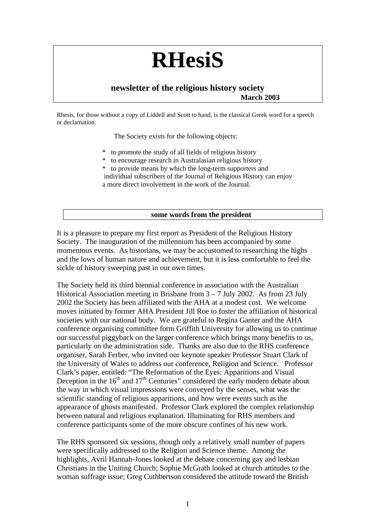# **RHesiS**

# **newsletter of the religious history society March 2003**

Rhesis, for those without a copy of Liddell and Scott to hand, is the classical Greek word for a speech or declamation.

The Society exists for the following objects:

- to promote the study of all fields of religious history
- to encourage research in Australasian religious history
- to provide means by which the long-term supporters and individual subscribers of the Journal of Religious History can enjoy a more direct involvement in the work of the Journal.

#### **some words from the president**

It is a pleasure to prepare my first report as President of the Religious History Society. The inauguration of the millennium has been accompanied by some momentous events. As historians, we may be accustomed to researching the highs and the lows of human nature and achievement, but it is less comfortable to feel the sickle of history sweeping past in our own times.

The Society held its third biennial conference in association with the Australian Historical Association meeting in Brisbane from  $3 - 7$  July 2002. As from 23 July 2002 the Society has been affiliated with the AHA at a modest cost. We welcome moves initiated by former AHA President Jill Roe to foster the affiliation of historical societies with our national body. We are grateful to Regina Ganter and the AHA conference organising committee form Griffith University for allowing us to continue our successful piggyback on the larger conference which brings many benefits to us, particularly on the administration side. Thanks are also due to the RHS conference organiser, Sarah Ferber, who invited our keynote speaker Professor Stuart Clark of the University of Wales to address our conference, Religion and Science. Professor Clark's paper, entitled: "The Reformation of the Eyes: Apparitions and Visual Deception in the  $16<sup>th</sup>$  and  $17<sup>th</sup>$  Centuries" considered the early modern debate about the way in which visual impressions were conveyed by the senses, what was the scientific standing of religious apparitions, and how were events such as the appearance of ghosts manifested. Professor Clark explored the complex relationship between natural and religious explanation. Illuminating for RHS members and conference participants some of the more obscure confines of his new work.

The RHS sponsored six sessions, though only a relatively small number of papers were specifically addressed to the Religion and Science theme. Among the highlights, Avril Hannah-Jones looked at the debate concerning gay and lesbian Christians in the Uniting Church; Sophie McGrath looked at church attitudes to the woman suffrage issue; Greg Cuthbertson considered the attitude toward the British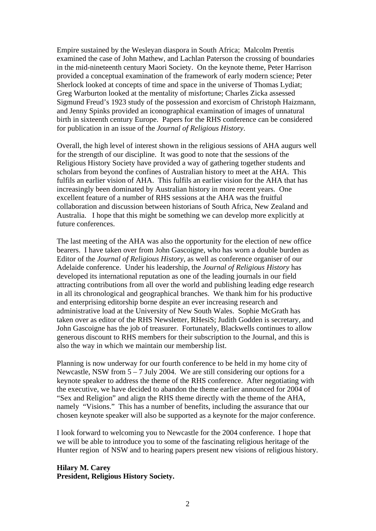Empire sustained by the Wesleyan diaspora in South Africa; Malcolm Prentis examined the case of John Mathew, and Lachlan Paterson the crossing of boundaries in the mid-nineteenth century Maori Society. On the keynote theme, Peter Harrison provided a conceptual examination of the framework of early modern science; Peter Sherlock looked at concepts of time and space in the universe of Thomas Lydiat; Greg Warburton looked at the mentality of misfortune; Charles Zicka assessed Sigmund Freud's 1923 study of the possession and exorcism of Christoph Haizmann, and Jenny Spinks provided an iconographical examination of images of unnatural birth in sixteenth century Europe. Papers for the RHS conference can be considered for publication in an issue of the *Journal of Religious History*.

Overall, the high level of interest shown in the religious sessions of AHA augurs well for the strength of our discipline. It was good to note that the sessions of the Religious History Society have provided a way of gathering together students and scholars from beyond the confines of Australian history to meet at the AHA. This fulfils an earlier vision of AHA. This fulfils an earlier vision for the AHA that has increasingly been dominated by Australian history in more recent years. One excellent feature of a number of RHS sessions at the AHA was the fruitful collaboration and discussion between historians of South Africa, New Zealand and Australia. I hope that this might be something we can develop more explicitly at future conferences.

The last meeting of the AHA was also the opportunity for the election of new office bearers. I have taken over from John Gascoigne, who has worn a double burden as Editor of the *Journal of Religious History*, as well as conference organiser of our Adelaide conference. Under his leadership, the *Journal of Religious History* has developed its international reputation as one of the leading journals in our field attracting contributions from all over the world and publishing leading edge research in all its chronological and geographical branches. We thank him for his productive and enterprising editorship borne despite an ever increasing research and administrative load at the University of New South Wales. Sophie McGrath has taken over as editor of the RHS Newsletter, RHesiS; Judith Godden is secretary, and John Gascoigne has the job of treasurer. Fortunately, Blackwells continues to allow generous discount to RHS members for their subscription to the Journal, and this is also the way in which we maintain our membership list.

Planning is now underway for our fourth conference to be held in my home city of Newcastle, NSW from  $5 - 7$  July 2004. We are still considering our options for a keynote speaker to address the theme of the RHS conference. After negotiating with the executive, we have decided to abandon the theme earlier announced for 2004 of "Sex and Religion" and align the RHS theme directly with the theme of the AHA, namely "Visions." This has a number of benefits, including the assurance that our chosen keynote speaker will also be supported as a keynote for the major conference.

I look forward to welcoming you to Newcastle for the 2004 conference. I hope that we will be able to introduce you to some of the fascinating religious heritage of the Hunter region of NSW and to hearing papers present new visions of religious history.

**Hilary M. Carey President, Religious History Society.**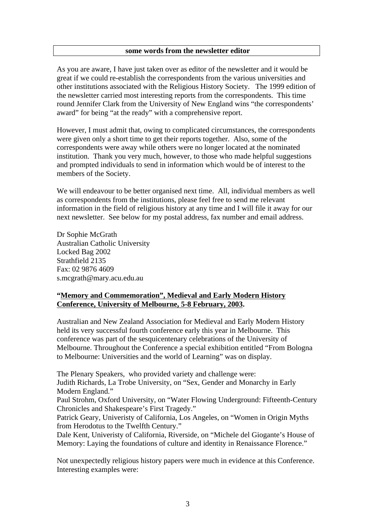As you are aware, I have just taken over as editor of the newsletter and it would be great if we could re-establish the correspondents from the various universities and other institutions associated with the Religious History Society. The 1999 edition of the newsletter carried most interesting reports from the correspondents. This time round Jennifer Clark from the University of New England wins "the correspondents' award" for being "at the ready" with a comprehensive report.

However, I must admit that, owing to complicated circumstances, the correspondents were given only a short time to get their reports together. Also, some of the correspondents were away while others were no longer located at the nominated institution. Thank you very much, however, to those who made helpful suggestions and prompted individuals to send in information which would be of interest to the members of the Society.

We will endeavour to be better organised next time. All, individual members as well as correspondents from the institutions, please feel free to send me relevant information in the field of religious history at any time and I will file it away for our next newsletter. See below for my postal address, fax number and email address.

Dr Sophie McGrath Australian Catholic University Locked Bag 2002 Strathfield 2135 Fax: 02 9876 4609 s.mcgrath@mary.acu.edu.au

# **"Memory and Commemoration", Medieval and Early Modern History Conference, University of Melbourne, 5-8 February, 2003.**

Australian and New Zealand Association for Medieval and Early Modern History held its very successful fourth conference early this year in Melbourne. This conference was part of the sesquicentenary celebrations of the University of Melbourne. Throughout the Conference a special exhibition entitled "From Bologna to Melbourne: Universities and the world of Learning" was on display.

The Plenary Speakers, who provided variety and challenge were: Judith Richards, La Trobe University, on "Sex, Gender and Monarchy in Early Modern England."

Paul Strohm, Oxford University, on "Water Flowing Underground: Fifteenth-Century Chronicles and Shakespeare's First Tragedy."

Patrick Geary, Univeristy of California, Los Angeles, on "Women in Origin Myths from Herodotus to the Twelfth Century."

Dale Kent, Univeristy of California, Riverside, on "Michele del Giogante's House of Memory: Laying the foundations of culture and identity in Renaissance Florence."

Not unexpectedly religious history papers were much in evidence at this Conference. Interesting examples were: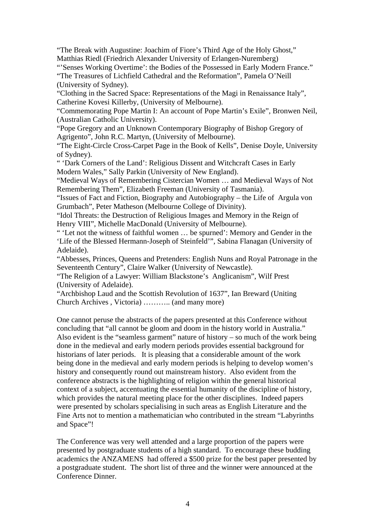"The Break with Augustine: Joachim of Fiore's Third Age of the Holy Ghost," Matthias Riedl (Friedrich Alexander University of Erlangen-Nuremberg)

"'Senses Working Overtime': the Bodies of the Possessed in Early Modern France."

"The Treasures of Lichfield Cathedral and the Reformation", Pamela O'Neill (University of Sydney).

"Clothing in the Sacred Space: Representations of the Magi in Renaissance Italy", Catherine Kovesi Killerby, (University of Melbourne).

"Commemorating Pope Martin I: An account of Pope Martin's Exile", Bronwen Neil, (Australian Catholic University).

"Pope Gregory and an Unknown Contemporary Biography of Bishop Gregory of Agrigento", John R.C. Martyn, (University of Melbourne).

"The Eight-Circle Cross-Carpet Page in the Book of Kells", Denise Doyle, University of Sydney).

" 'Dark Corners of the Land': Religious Dissent and Witchcraft Cases in Early Modern Wales," Sally Parkin (University of New England).

"Medieval Ways of Remembering Cistercian Women … and Medieval Ways of Not Remembering Them", Elizabeth Freeman (University of Tasmania).

"Issues of Fact and Fiction, Biography and Autobiography – the Life of Argula von Grumbach", Peter Matheson (Melbourne College of Divinity).

"Idol Threats: the Destruction of Religious Images and Memory in the Reign of Henry VIII", Michelle MacDonald (University of Melbourne).

" 'Let not the witness of faithful women … be spurned': Memory and Gender in the 'Life of the Blessed Hermann-Joseph of Steinfeld'", Sabina Flanagan (University of Adelaide).

"Abbesses, Princes, Queens and Pretenders: English Nuns and Royal Patronage in the Seventeenth Century", Claire Walker (University of Newcastle).

"The Religion of a Lawyer: William Blackstone's Anglicanism", Wilf Prest (University of Adelaide).

"Archbishop Laud and the Scottish Revolution of 1637", Ian Breward (Uniting Church Archives , Victoria) ……….. (and many more)

One cannot peruse the abstracts of the papers presented at this Conference without concluding that "all cannot be gloom and doom in the history world in Australia." Also evident is the "seamless garment" nature of history – so much of the work being done in the medieval and early modern periods provides essential background for historians of later periods. It is pleasing that a considerable amount of the work being done in the medieval and early modern periods is helping to develop women's history and consequently round out mainstream history. Also evident from the conference abstracts is the highlighting of religion within the general historical context of a subject, accentuating the essential humanity of the discipline of history, which provides the natural meeting place for the other disciplines. Indeed papers were presented by scholars specialising in such areas as English Literature and the Fine Arts not to mention a mathematician who contributed in the stream "Labyrinths and Space"!

The Conference was very well attended and a large proportion of the papers were presented by postgraduate students of a high standard. To encourage these budding academics the ANZAMENS had offered a \$500 prize for the best paper presented by a postgraduate student. The short list of three and the winner were announced at the Conference Dinner.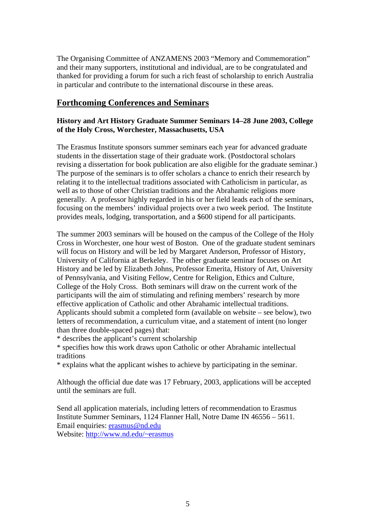The Organising Committee of ANZAMENS 2003 "Memory and Commemoration" and their many supporters, institutional and individual, are to be congratulated and thanked for providing a forum for such a rich feast of scholarship to enrich Australia in particular and contribute to the international discourse in these areas.

# **Forthcoming Conferences and Seminars**

# **History and Art History Graduate Summer Seminars 14–28 June 2003, College of the Holy Cross, Worchester, Massachusetts, USA**

The Erasmus Institute sponsors summer seminars each year for advanced graduate students in the dissertation stage of their graduate work. (Postdoctoral scholars revising a dissertation for book publication are also eligible for the graduate seminar.) The purpose of the seminars is to offer scholars a chance to enrich their research by relating it to the intellectual traditions associated with Catholicism in particular, as well as to those of other Christian traditions and the Abrahamic religions more generally. A professor highly regarded in his or her field leads each of the seminars, focusing on the members' individual projects over a two week period. The Institute provides meals, lodging, transportation, and a \$600 stipend for all participants.

The summer 2003 seminars will be housed on the campus of the College of the Holy Cross in Worchester, one hour west of Boston. One of the graduate student seminars will focus on History and will be led by Margaret Anderson, Professor of History, University of California at Berkeley. The other graduate seminar focuses on Art History and be led by Elizabeth Johns, Professor Emerita, History of Art, University of Pennsylvania, and Visiting Fellow, Centre for Religion, Ethics and Culture, College of the Holy Cross. Both seminars will draw on the current work of the participants will the aim of stimulating and refining members' research by more effective application of Catholic and other Abrahamic intellectual traditions. Applicants should submit a completed form (available on website – see below), two letters of recommendation, a curriculum vitae, and a statement of intent (no longer than three double-spaced pages) that:

\* describes the applicant's current scholarship

\* specifies how this work draws upon Catholic or other Abrahamic intellectual traditions

\* explains what the applicant wishes to achieve by participating in the seminar.

Although the official due date was 17 February, 2003, applications will be accepted until the seminars are full.

Send all application materials, including letters of recommendation to Erasmus Institute Summer Seminars, 1124 Flanner Hall, Notre Dame IN 46556 – 5611. Email enquiries: erasmus@nd.edu Website: http://www.nd.edu/~erasmus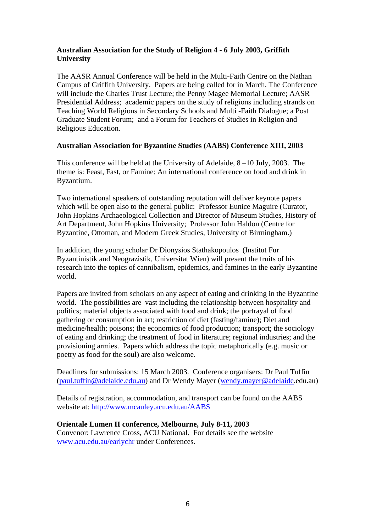### **Australian Association for the Study of Religion 4 - 6 July 2003, Griffith University**

The AASR Annual Conference will be held in the Multi-Faith Centre on the Nathan Campus of Griffith University. Papers are being called for in March. The Conference will include the Charles Trust Lecture; the Penny Magee Memorial Lecture; AASR Presidential Address; academic papers on the study of religions including strands on Teaching World Religions in Secondary Schools and Multi -Faith Dialogue; a Post Graduate Student Forum; and a Forum for Teachers of Studies in Religion and Religious Education.

#### **Australian Association for Byzantine Studies (AABS) Conference XIII, 2003**

This conference will be held at the University of Adelaide, 8 –10 July, 2003. The theme is: Feast, Fast, or Famine: An international conference on food and drink in Byzantium.

Two international speakers of outstanding reputation will deliver keynote papers which will be open also to the general public: Professor Eunice Maguire (Curator, John Hopkins Archaeological Collection and Director of Museum Studies, History of Art Department, John Hopkins University; Professor John Haldon (Centre for Byzantine, Ottoman, and Modern Greek Studies, University of Birmingham.)

In addition, the young scholar Dr Dionysios Stathakopoulos (Institut Fur Byzantinistik and Neograzistik, Universitat Wien) will present the fruits of his research into the topics of cannibalism, epidemics, and famines in the early Byzantine world.

Papers are invited from scholars on any aspect of eating and drinking in the Byzantine world. The possibilities are vast including the relationship between hospitality and politics; material objects associated with food and drink; the portrayal of food gathering or consumption in art; restriction of diet (fasting/famine); Diet and medicine/health; poisons; the economics of food production; transport; the sociology of eating and drinking; the treatment of food in literature; regional industries; and the provisioning armies. Papers which address the topic metaphorically (e.g. music or poetry as food for the soul) are also welcome.

Deadlines for submissions: 15 March 2003. Conference organisers: Dr Paul Tuffin (paul.tuffin@adelaide.edu.au) and Dr Wendy Mayer (wendy.mayer@adelaide.edu.au)

Details of registration, accommodation, and transport can be found on the AABS website at: http://www.mcauley.acu.edu.au/AABS

#### **Orientale Lumen II conference, Melbourne, July 8-11, 2003**

Convenor: Lawrence Cross, ACU National. For details see the website www.acu.edu.au/earlychr under Conferences.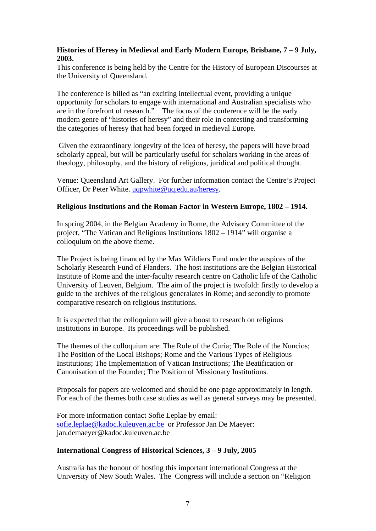### **Histories of Heresy in Medieval and Early Modern Europe, Brisbane, 7 – 9 July, 2003.**

This conference is being held by the Centre for the History of European Discourses at the University of Queensland.

The conference is billed as "an exciting intellectual event, providing a unique opportunity for scholars to engage with international and Australian specialists who are in the forefront of research." The focus of the conference will be the early modern genre of "histories of heresy" and their role in contesting and transforming the categories of heresy that had been forged in medieval Europe.

 Given the extraordinary longevity of the idea of heresy, the papers will have broad scholarly appeal, but will be particularly useful for scholars working in the areas of theology, philosophy, and the history of religious, juridical and political thought.

Venue: Queensland Art Gallery. For further information contact the Centre's Project Officer, Dr Peter White. uqpwhite@uq.edu.au/heresy.

#### **Religious Institutions and the Roman Factor in Western Europe, 1802 – 1914.**

In spring 2004, in the Belgian Academy in Rome, the Advisory Committee of the project, "The Vatican and Religious Institutions 1802 – 1914" will organise a colloquium on the above theme.

The Project is being financed by the Max Wildiers Fund under the auspices of the Scholarly Research Fund of Flanders. The host institutions are the Belgian Historical Institute of Rome and the inter-faculty research centre on Catholic life of the Catholic University of Leuven, Belgium. The aim of the project is twofold: firstly to develop a guide to the archives of the religious generalates in Rome; and secondly to promote comparative research on religious institutions.

It is expected that the colloquium will give a boost to research on religious institutions in Europe. Its proceedings will be published.

The themes of the colloquium are: The Role of the Curia; The Role of the Nuncios; The Position of the Local Bishops; Rome and the Various Types of Religious Institutions; The Implementation of Vatican Instructions; The Beatification or Canonisation of the Founder; The Position of Missionary Institutions.

Proposals for papers are welcomed and should be one page approximately in length. For each of the themes both case studies as well as general surveys may be presented.

For more information contact Sofie Leplae by email: sofie.leplae@kadoc.kuleuven.ac.be or Professor Jan De Maeyer: jan.demaeyer@kadoc.kuleuven.ac.be

#### **International Congress of Historical Sciences, 3 – 9 July, 2005**

Australia has the honour of hosting this important international Congress at the University of New South Wales. The Congress will include a section on "Religion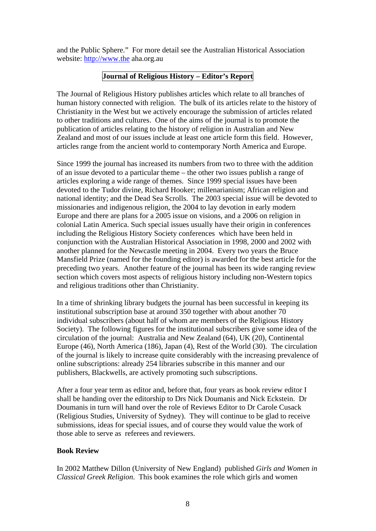and the Public Sphere." For more detail see the Australian Historical Association website: http://www.the aha.org.au

# **Journal of Religious History – Editor's Report**

The Journal of Religious History publishes articles which relate to all branches of human history connected with religion. The bulk of its articles relate to the history of Christianity in the West but we actively encourage the submission of articles related to other traditions and cultures. One of the aims of the journal is to promote the publication of articles relating to the history of religion in Australian and New Zealand and most of our issues include at least one article form this field. However, articles range from the ancient world to contemporary North America and Europe.

Since 1999 the journal has increased its numbers from two to three with the addition of an issue devoted to a particular theme – the other two issues publish a range of articles exploring a wide range of themes. Since 1999 special issues have been devoted to the Tudor divine, Richard Hooker; millenarianism; African religion and national identity; and the Dead Sea Scrolls. The 2003 special issue will be devoted to missionaries and indigenous religion, the 2004 to lay devotion in early modern Europe and there are plans for a 2005 issue on visions, and a 2006 on religion in colonial Latin America. Such special issues usually have their origin in conferences including the Religious History Society conferences which have been held in conjunction with the Australian Historical Association in 1998, 2000 and 2002 with another planned for the Newcastle meeting in 2004. Every two years the Bruce Mansfield Prize (named for the founding editor) is awarded for the best article for the preceding two years. Another feature of the journal has been its wide ranging review section which covers most aspects of religious history including non-Western topics and religious traditions other than Christianity.

In a time of shrinking library budgets the journal has been successful in keeping its institutional subscription base at around 350 together with about another 70 individual subscribers (about half of whom are members of the Religious History Society). The following figures for the institutional subscribers give some idea of the circulation of the journal: Australia and New Zealand (64), UK (20), Continental Europe (46), North America (186), Japan (4), Rest of the World (30). The circulation of the journal is likely to increase quite considerably with the increasing prevalence of online subscriptions: already 254 libraries subscribe in this manner and our publishers, Blackwells, are actively promoting such subscriptions.

After a four year term as editor and, before that, four years as book review editor I shall be handing over the editorship to Drs Nick Doumanis and Nick Eckstein. Dr Doumanis in turn will hand over the role of Reviews Editor to Dr Carole Cusack (Religious Studies, University of Sydney). They will continue to be glad to receive submissions, ideas for special issues, and of course they would value the work of those able to serve as referees and reviewers.

# **Book Review**

In 2002 Matthew Dillon (University of New England) published *Girls and Women in Classical Greek Religion*. This book examines the role which girls and women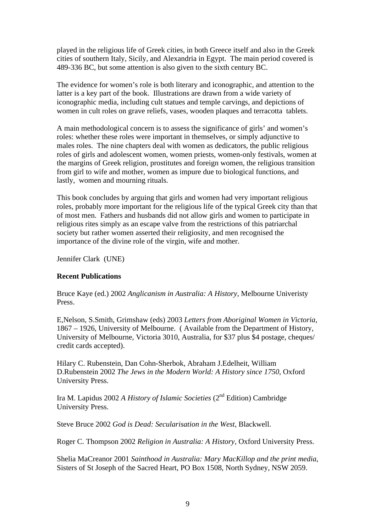played in the religious life of Greek cities, in both Greece itself and also in the Greek cities of southern Italy, Sicily, and Alexandria in Egypt. The main period covered is 489-336 BC, but some attention is also given to the sixth century BC.

The evidence for women's role is both literary and iconographic, and attention to the latter is a key part of the book. Illustrations are drawn from a wide variety of iconographic media, including cult statues and temple carvings, and depictions of women in cult roles on grave reliefs, vases, wooden plaques and terracotta tablets.

A main methodological concern is to assess the significance of girls' and women's roles: whether these roles were important in themselves, or simply adjunctive to males roles. The nine chapters deal with women as dedicators, the public religious roles of girls and adolescent women, women priests, women-only festivals, women at the margins of Greek religion, prostitutes and foreign women, the religious transition from girl to wife and mother, women as impure due to biological functions, and lastly, women and mourning rituals.

This book concludes by arguing that girls and women had very important religious roles, probably more important for the religious life of the typical Greek city than that of most men. Fathers and husbands did not allow girls and women to participate in religious rites simply as an escape valve from the restrictions of this patriarchal society but rather women asserted their religiosity, and men recognised the importance of the divine role of the virgin, wife and mother.

Jennifer Clark (UNE)

#### **Recent Publications**

Bruce Kaye (ed.) 2002 *Anglicanism in Australia: A History*, Melbourne Univeristy Press.

E,Nelson, S.Smith, Grimshaw (eds) 2003 *Letters from Aboriginal Women in Victoria*, 1867 – 1926, University of Melbourne. ( Available from the Department of History, University of Melbourne, Victoria 3010, Australia, for \$37 plus \$4 postage, cheques/ credit cards accepted).

Hilary C. Rubenstein, Dan Cohn-Sherbok, Abraham J.Edelheit, William D.Rubenstein 2002 *The Jews in the Modern World: A History since 1750*, Oxford University Press.

Ira M. Lapidus 2002 *A History of Islamic Societies* (2nd Edition) Cambridge University Press.

Steve Bruce 2002 *God is Dead: Secularisation in the West*, Blackwell.

Roger C. Thompson 2002 *Religion in Australia: A History*, Oxford University Press.

Shelia MaCreanor 2001 *Sainthood in Australia: Mary MacKillop and the print media*, Sisters of St Joseph of the Sacred Heart, PO Box 1508, North Sydney, NSW 2059.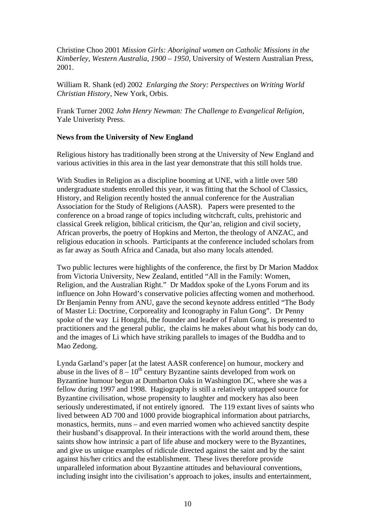Christine Choo 2001 *Mission Girls: Aboriginal women on Catholic Missions in the Kimberley, Western Australia, 1900 – 1950*, University of Western Australian Press, 2001.

William R. Shank (ed) 2002 *Enlarging the Story: Perspectives on Writing World Christian History*, New York, Orbis.

Frank Turner 2002 *John Henry Newman: The Challenge to Evangelical Religion*, Yale Univeristy Press.

# **News from the University of New England**

Religious history has traditionally been strong at the University of New England and various activities in this area in the last year demonstrate that this still holds true.

With Studies in Religion as a discipline booming at UNE, with a little over 580 undergraduate students enrolled this year, it was fitting that the School of Classics, History, and Religion recently hosted the annual conference for the Australian Association for the Study of Religions (AASR). Papers were presented to the conference on a broad range of topics including witchcraft, cults, prehistoric and classical Greek religion, biblical criticism, the Qur'an, religion and civil society, African proverbs, the poetry of Hopkins and Merton, the theology of ANZAC, and religious education in schools. Participants at the conference included scholars from as far away as South Africa and Canada, but also many locals attended.

Two public lectures were highlights of the conference, the first by Dr Marion Maddox from Victoria University, New Zealand, entitled "All in the Family: Women, Religion, and the Australian Right." Dr Maddox spoke of the Lyons Forum and its influence on John Howard's conservative policies affecting women and motherhood. Dr Benjamin Penny from ANU, gave the second keynote address entitled "The Body of Master Li: Doctrine, Corporeality and Iconography in Falun Gong". Dr Penny spoke of the way Li Hongzhi, the founder and leader of Falum Gong, is presented to practitioners and the general public, the claims he makes about what his body can do, and the images of Li which have striking parallels to images of the Buddha and to Mao Zedong.

Lynda Garland's paper [at the latest AASR conference] on humour, mockery and abuse in the lives of  $8 - 10^{th}$  century Byzantine saints developed from work on Byzantine humour begun at Dumbarton Oaks in Washington DC, where she was a fellow during 1997 and 1998. Hagiography is still a relatively untapped source for Byzantine civilisation, whose propensity to laughter and mockery has also been seriously underestimated, if not entirely ignored. The 119 extant lives of saints who lived between AD 700 and 1000 provide biographical information about patriarchs, monastics, hermits, nuns – and even married women who achieved sanctity despite their husband's disapproval. In their interactions with the world around them, these saints show how intrinsic a part of life abuse and mockery were to the Byzantines, and give us unique examples of ridicule directed against the saint and by the saint against his/her critics and the establishment. These lives therefore provide unparalleled information about Byzantine attitudes and behavioural conventions, including insight into the civilisation's approach to jokes, insults and entertainment,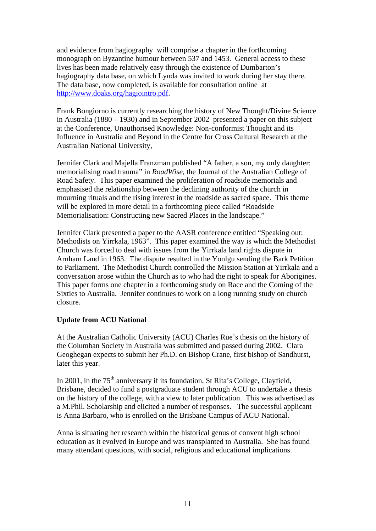and evidence from hagiography will comprise a chapter in the forthcoming monograph on Byzantine humour between 537 and 1453. General access to these lives has been made relatively easy through the existence of Dumbarton's hagiography data base, on which Lynda was invited to work during her stay there. The data base, now completed, is available for consultation online at http://www.doaks.org/hagiointro.pdf.

Frank Bongiorno is currently researching the history of New Thought/Divine Science in Australia (1880 – 1930) and in September 2002 presented a paper on this subject at the Conference, Unauthorised Knowledge: Non-conformist Thought and its Influence in Australia and Beyond in the Centre for Cross Cultural Research at the Australian National University,

Jennifer Clark and Majella Franzman published "A father, a son, my only daughter: memorialising road trauma" in *RoadWise*, the Journal of the Australian College of Road Safety. This paper examined the proliferation of roadside memorials and emphasised the relationship between the declining authority of the church in mourning rituals and the rising interest in the roadside as sacred space. This theme will be explored in more detail in a forthcoming piece called "Roadside Memorialisation: Constructing new Sacred Places in the landscape."

Jennifer Clark presented a paper to the AASR conference entitled "Speaking out: Methodists on Yirrkala, 1963". This paper examined the way is which the Methodist Church was forced to deal with issues from the Yirrkala land rights dispute in Arnham Land in 1963. The dispute resulted in the Yonlgu sending the Bark Petition to Parliament. The Methodist Church controlled the Mission Station at Yirrkala and a conversation arose within the Church as to who had the right to speak for Aborigines. This paper forms one chapter in a forthcoming study on Race and the Coming of the Sixties to Australia. Jennifer continues to work on a long running study on church closure.

#### **Update from ACU National**

At the Australian Catholic University (ACU) Charles Rue's thesis on the history of the Columban Society in Australia was submitted and passed during 2002. Clara Geoghegan expects to submit her Ph.D. on Bishop Crane, first bishop of Sandhurst, later this year.

In 2001, in the  $75<sup>th</sup>$  anniversary if its foundation, St Rita's College, Clayfield, Brisbane, decided to fund a postgraduate student through ACU to undertake a thesis on the history of the college, with a view to later publication. This was advertised as a M.Phil. Scholarship and elicited a number of responses. The successful applicant is Anna Barbaro, who is enrolled on the Brisbane Campus of ACU National.

Anna is situating her research within the historical genus of convent high school education as it evolved in Europe and was transplanted to Australia. She has found many attendant questions, with social, religious and educational implications.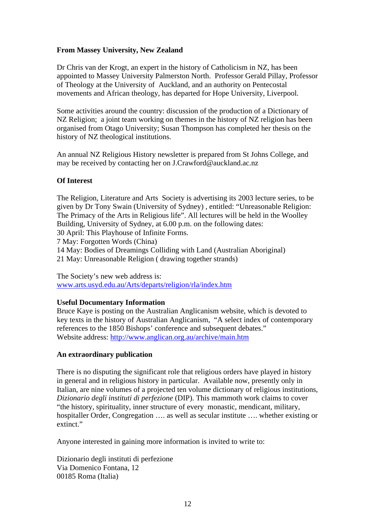# **From Massey University, New Zealand**

Dr Chris van der Krogt, an expert in the history of Catholicism in NZ, has been appointed to Massey University Palmerston North. Professor Gerald Pillay, Professor of Theology at the University of Auckland, and an authority on Pentecostal movements and African theology, has departed for Hope University, Liverpool.

Some activities around the country: discussion of the production of a Dictionary of NZ Religion; a joint team working on themes in the history of NZ religion has been organised from Otago University; Susan Thompson has completed her thesis on the history of NZ theological institutions.

An annual NZ Religious History newsletter is prepared from St Johns College, and may be received by contacting her on J.Crawford@auckland.ac.nz

#### **Of Interest**

The Religion, Literature and Arts Society is advertising its 2003 lecture series, to be given by Dr Tony Swain (University of Sydney) , entitled: "Unreasonable Religion: The Primacy of the Arts in Religious life". All lectures will be held in the Woolley Building, University of Sydney, at 6.00 p.m. on the following dates: 30 April: This Playhouse of Infinite Forms. 7 May: Forgotten Words (China) 14 May: Bodies of Dreamings Colliding with Land (Australian Aboriginal) 21 May: Unreasonable Religion ( drawing together strands)

The Society's new web address is: www.arts.usyd.edu.au/Arts/departs/religion/rla/index.htm

#### **Useful Documentary Information**

Bruce Kaye is posting on the Australian Anglicanism website, which is devoted to key texts in the history of Australian Anglicanism, "A select index of contemporary references to the 1850 Bishops' conference and subsequent debates." Website address: http://www.anglican.org.au/archive/main.htm

#### **An extraordinary publication**

There is no disputing the significant role that religious orders have played in history in general and in religious history in particular. Available now, presently only in Italian, are nine volumes of a projected ten volume dictionary of religious institutions, *Dizionario degli instituti di perfezione* (DIP). This mammoth work claims to cover "the history, spirituality, inner structure of every monastic, mendicant, military, hospitaller Order, Congregation .... as well as secular institute .... whether existing or extinct."

Anyone interested in gaining more information is invited to write to:

Dizionario degli instituti di perfezione Via Domenico Fontana, 12 00185 Roma (Italia)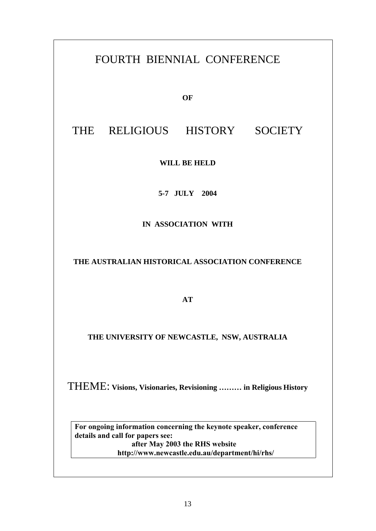# FOURTH BIENNIAL CONFERENCE

**OF** 

# THE RELIGIOUS HISTORY SOCIETY

**WILL BE HELD**

**5-7 JULY 2004**

**IN ASSOCIATION WITH**

**THE AUSTRALIAN HISTORICAL ASSOCIATION CONFERENCE** 

**AT** 

**THE UNIVERSITY OF NEWCASTLE, NSW, AUSTRALIA** 

THEME: **Visions, Visionaries, Revisioning ……… in Religious History**

**For ongoing information concerning the keynote speaker, conference details and call for papers see: after May 2003 the RHS website http://www.newcastle.edu.au/department/hi/rhs/**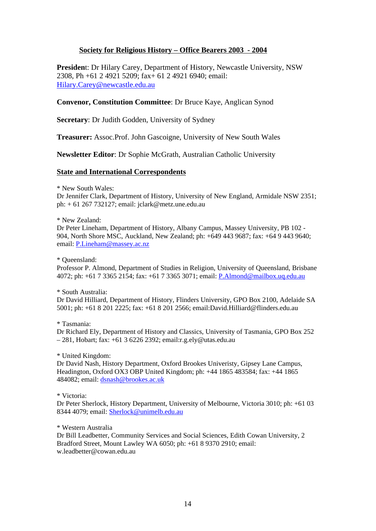#### **Society for Religious History – Office Bearers 2003 - 2004**

**Presiden**t: Dr Hilary Carey, Department of History, Newcastle University, NSW 2308, Ph +61 2 4921 5209; fax+ 61 2 4921 6940; email: Hilary.Carey@newcastle.edu.au

#### **Convenor, Constitution Committee**: Dr Bruce Kaye, Anglican Synod

**Secretary**: Dr Judith Godden, University of Sydney

**Treasurer:** Assoc.Prof. John Gascoigne, University of New South Wales

**Newsletter Editor**: Dr Sophie McGrath, Australian Catholic University

#### **State and International Correspondents**

#### \* New South Wales:

Dr Jennifer Clark, Department of History, University of New England, Armidale NSW 2351; ph: + 61 267 732127; email: jclark@metz.une.edu.au

#### \* New Zealand:

Dr Peter Lineham, Department of History, Albany Campus, Massey University, PB 102 - 904, North Shore MSC, Auckland, New Zealand; ph: +649 443 9687; fax: +64 9 443 9640; email: P.Lineham@massey.ac.nz

#### \* Queensland:

Professor P. Almond, Department of Studies in Religion, University of Queensland, Brisbane 4072; ph: +61 7 3365 2154; fax: +61 7 3365 3071; email: P.Almond@mailbox.uq.edu.au

#### \* South Australia:

Dr David Hilliard, Department of History, Flinders University, GPO Box 2100, Adelaide SA 5001; ph: +61 8 201 2225; fax: +61 8 201 2566; email:David.Hilliard@flinders.edu.au

#### \* Tasmania:

Dr Richard Ely, Department of History and Classics, University of Tasmania, GPO Box 252 – 281, Hobart; fax: +61 3 6226 2392; email:r.g.ely@utas.edu.au

#### \* United Kingdom:

Dr David Nash, History Department, Oxford Brookes Univeristy, Gipsey Lane Campus, Headington, Oxford OX3 OBP United Kingdom; ph: +44 1865 483584; fax: +44 1865 484082; email: dsnash@brookes.ac.uk

#### \* Victoria:

Dr Peter Sherlock, History Department, University of Melbourne, Victoria 3010; ph: +61 03 8344 4079; email: Sherlock@unimelb.edu.au

#### \* Western Australia

Dr Bill Leadbetter, Community Services and Social Sciences, Edith Cowan University, 2 Bradford Street, Mount Lawley WA 6050; ph: +61 8 9370 2910; email: w.leadbetter@cowan.edu.au